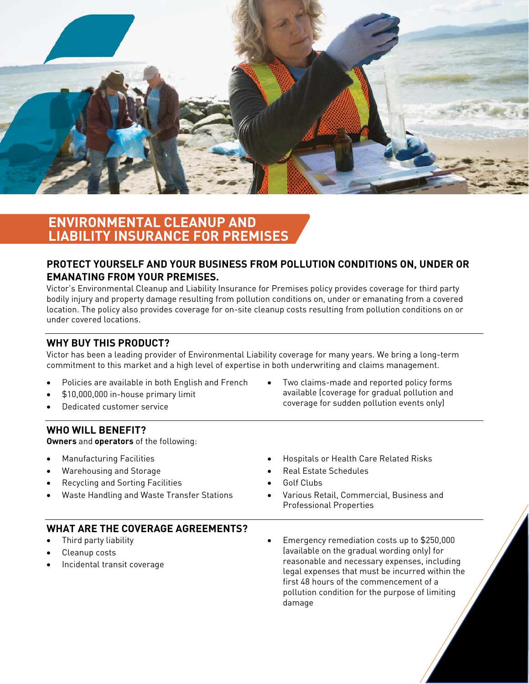

# **ENVIRONMENTAL CLEANUP AND LIABILITY INSURANCE FOR PREMISES**

### **PROTECT YOURSELF AND YOUR BUSINESS FROM POLLUTION CONDITIONS ON, UNDER OR EMANATING FROM YOUR PREMISES.**

Victor's Environmental Cleanup and Liability Insurance for Premises policy provides coverage for third party bodily injury and property damage resulting from pollution conditions on, under or emanating from a covered location. The policy also provides coverage for on-site cleanup costs resulting from pollution conditions on or under covered locations.

## **WHY BUY THIS PRODUCT?**

Victor has been a leading provider of Environmental Liability coverage for many years. We bring a long-term commitment to this market and a high level of expertise in both underwriting and claims management.

- Policies are available in both English and French
- \$10,000,000 in-house primary limit
- Dedicated customer service

 Two claims-made and reported policy forms available (coverage for gradual pollution and coverage for sudden pollution events only)

#### **WHO WILL BENEFIT?**

**Owners** and **operators** of the following:

- Manufacturing Facilities
- Warehousing and Storage
- Recycling and Sorting Facilities
- Waste Handling and Waste Transfer Stations

#### Hospitals or Health Care Related Risks

- Real Estate Schedules
- Golf Clubs
- Various Retail, Commercial, Business and Professional Properties

# **WHAT ARE THE COVERAGE AGREEMENTS?**

- Third party liability
- Cleanup costs
- Incidental transit coverage

 Emergency remediation costs up to \$250,000 (available on the gradual wording only) for reasonable and necessary expenses, including legal expenses that must be incurred within the first 48 hours of the commencement of a pollution condition for the purpose of limiting damage